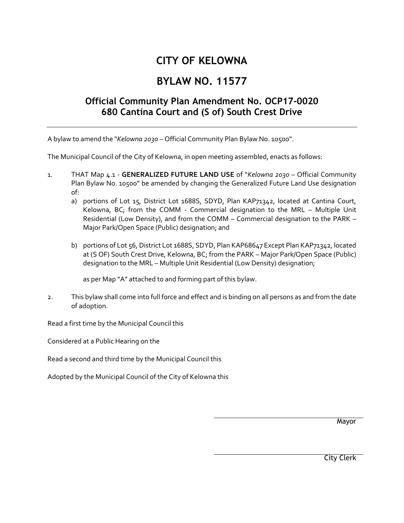## **CITY OF KELOWNA**

## **BYLAW NO. 11577**

## **Official Community Plan Amendment No. OCP17-0020 680 Cantina Court and (S of) South Crest Drive**

A bylaw to amend the "*Kelowna 2030* – Official Community Plan Bylaw No. 10500".

The Municipal Council of the City of Kelowna, in open meeting assembled, enacts as follows:

- 1. THAT Map 4.1 **GENERALIZED FUTURE LAND USE** of "*Kelowna 2030* Official Community Plan Bylaw No. 10500" be amended by changing the Generalized Future Land Use designation of:
	- a) portions of Lot 15, District Lot 1688S, SDYD, Plan KAP71342, located at Cantina Court, Kelowna, BC; from the COMM - Commercial designation to the MRL – Multiple Unit Residential (Low Density), and from the COMM – Commercial designation to the PARK – Major Park/Open Space (Public) designation; and
	- b) portions of Lot 56, District Lot 1688S, SDYD, Plan KAP68647 Except Plan KAP71342, located at (S OF) South Crest Drive, Kelowna, BC; from the PARK – Major Park/Open Space (Public) designation to the MRL – Multiple Unit Residential (Low Density) designation;

as per Map "A" attached to and forming part of this bylaw.

2. This bylaw shall come into full force and effect and is binding on all persons as and from the date of adoption.

Read a first time by the Municipal Council this

Considered at a Public Hearing on the

Read a second and third time by the Municipal Council this

Adopted by the Municipal Council of the City of Kelowna this

Mayor

City Clerk